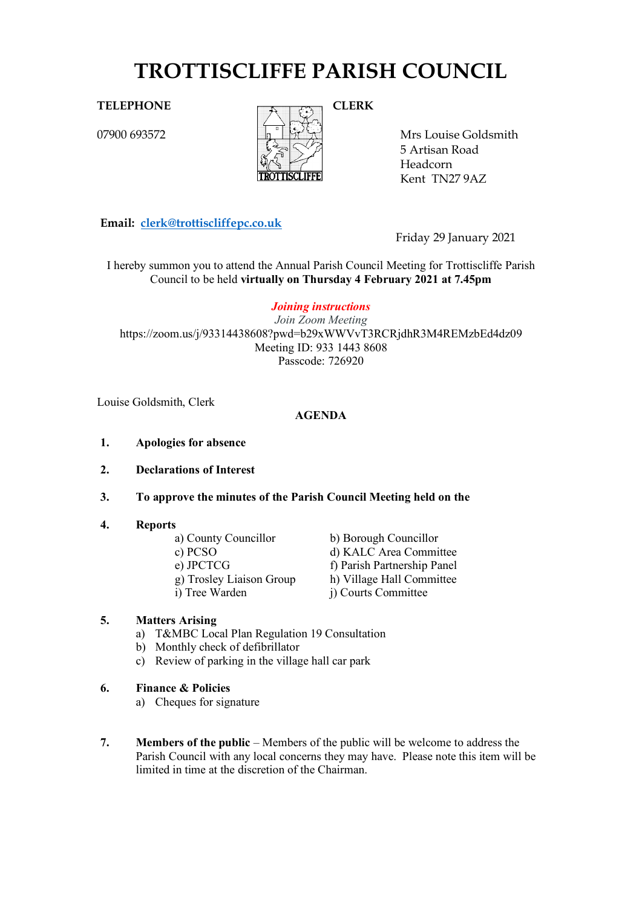# **TROTTISCLIFFE PARISH COUNCIL**

07900 693572



Mrs Louise Goldsmith 5 A rtisan Road Headcorn Kent TN27 9AZ

**Email: [clerk@trottiscliffepc.co.uk](mailto:clerk@trottiscliffepc.co.uk)**

Friday 29 January 2021

I hereby summon you to attend the Annual Parish Council Meeting for Trottiscliffe Parish Council to be held **virtually on Thursday 4 February 2021 at 7.45pm**

*Joining instructions Join Zoom Meeting* https://zoom.us/j/93314438608?pwd=b29xWWVvT3RCRjdhR3M4REMzbEd4dz09 Meeting ID: 933 1443 8608 Passcode: 726920

Louise Goldsmith, Clerk

# **AGENDA**

- **1. Apologies for absence**
- **2. Declarations of Interest**
- **3. To approve the minutes of the Parish Council Meeting held on the**
- **4. Reports**
	-
	-
	-
	-
	-
	- a) County Councillor<br>
	c) PCSO<br>
	d) KALC Area Commi d) KALC Area Committee e) JPCTCG f) Parish Partnership Panel g) Trosley Liaison Group h) Village Hall Committee i) Tree Warden j) Courts Committee

#### **5. Matters Arising**

- a) T&MBC Local Plan Regulation 19 Consultation
- b) Monthly check of defibrillator
- c) Review of parking in the village hall car park
- **6. Finance & Policies** 
	- a) Cheques for signature
- **7. Members of the public** Members of the public will be welcome to address the Parish Council with any local concerns they may have. Please note this item will be limited in time at the discretion of the Chairman.